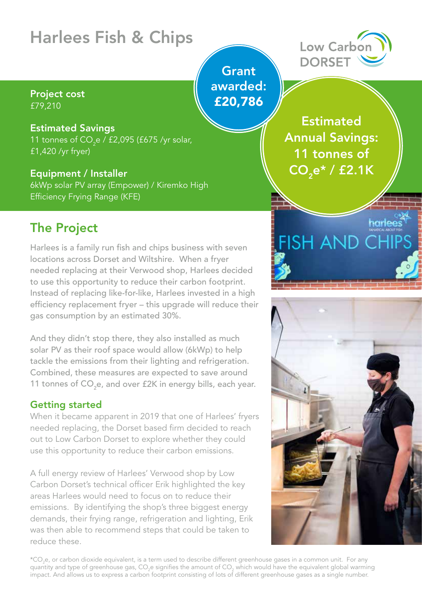# Harlees Fish & Chips

#### Project cost £79,210

#### Estimated Savings

11 tonnes of CO<sub>2</sub>e / £2,095 (£675 /yr solar, £1,420 /yr fryer)

## Equipment / Installer

6kWp solar PV array (Empower) / Kiremko High Efficiency Frying Range (KFE)

# The Project

Harlees is a family run fish and chips business with seven locations across Dorset and Wiltshire. When a fryer needed replacing at their Verwood shop, Harlees decided to use this opportunity to reduce their carbon footprint. Instead of replacing like-for-like, Harlees invested in a high efficiency replacement fryer – this upgrade will reduce their gas consumption by an estimated 30%.

And they didn't stop there, they also installed as much solar PV as their roof space would allow (6kWp) to help tackle the emissions from their lighting and refrigeration. Combined, these measures are expected to save around 11 tonnes of CO<sub>2</sub>e, and over £2K in energy bills, each year.

## Getting started

When it became apparent in 2019 that one of Harlees' fryers needed replacing, the Dorset based firm decided to reach out to Low Carbon Dorset to explore whether they could use this opportunity to reduce their carbon emissions.

A full energy review of Harlees' Verwood shop by Low Carbon Dorset's technical officer Erik highlighted the key areas Harlees would need to focus on to reduce their emissions. By identifying the shop's three biggest energy demands, their frying range, refrigeration and lighting, Erik was then able to recommend steps that could be taken to reduce these.

\*CO<sub>2</sub>e, or carbon dioxide equivalent, is a term used to describe different greenhouse gases in a common unit. For any quantity and type of greenhouse gas, CO<sub>2</sub>e signifies the amount of CO<sub>2</sub> which would have the equivalent global warming impact. And allows us to express a carbon footprint consisting of lots of different greenhouse gases as a single number.

## **Grant** awarded: £20,786

**Estimated** Annual Savings: 11 tonnes of  $\overline{{\sf CO}_{2}e^{\star}/\,{\sf f2}.1{\sf K}}$ 

**FISH AND CHIPS** 

harlee





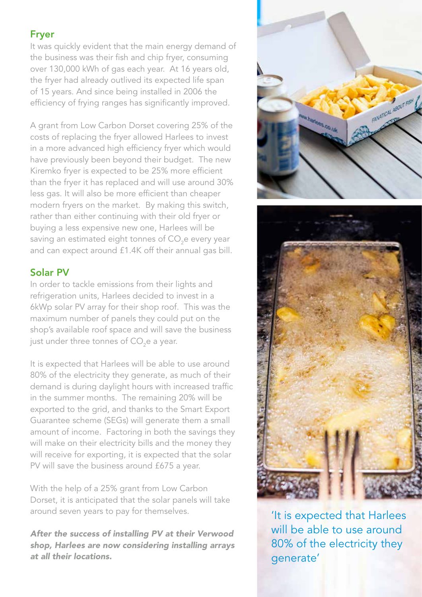#### Fryer

It was quickly evident that the main energy demand of the business was their fish and chip fryer, consuming over 130,000 kWh of gas each year. At 16 years old, the fryer had already outlived its expected life span of 15 years. And since being installed in 2006 the efficiency of frying ranges has significantly improved.

A grant from Low Carbon Dorset covering 25% of the costs of replacing the fryer allowed Harlees to invest in a more advanced high efficiency fryer which would have previously been beyond their budget. The new Kiremko fryer is expected to be 25% more efficient than the fryer it has replaced and will use around 30% less gas. It will also be more efficient than cheaper modern fryers on the market. By making this switch, rather than either continuing with their old fryer or buying a less expensive new one, Harlees will be saving an estimated eight tonnes of CO<sub>2</sub>e every year and can expect around £1.4K off their annual gas bill.

## Solar PV

In order to tackle emissions from their lights and refrigeration units, Harlees decided to invest in a 6kWp solar PV array for their shop roof. This was the maximum number of panels they could put on the shop's available roof space and will save the business just under three tonnes of CO<sub>2</sub>e a year.

It is expected that Harlees will be able to use around 80% of the electricity they generate, as much of their demand is during daylight hours with increased traffic in the summer months. The remaining 20% will be exported to the grid, and thanks to the Smart Export Guarantee scheme (SEGs) will generate them a small amount of income. Factoring in both the savings they will make on their electricity bills and the money they will receive for exporting, it is expected that the solar PV will save the business around £675 a year.

With the help of a 25% grant from Low Carbon Dorset, it is anticipated that the solar panels will take around seven years to pay for themselves.

*After the success of installing PV at their Verwood shop, Harlees are now considering installing arrays at all their locations.*



'It is expected that Harlees will be able to use around 80% of the electricity they generate'